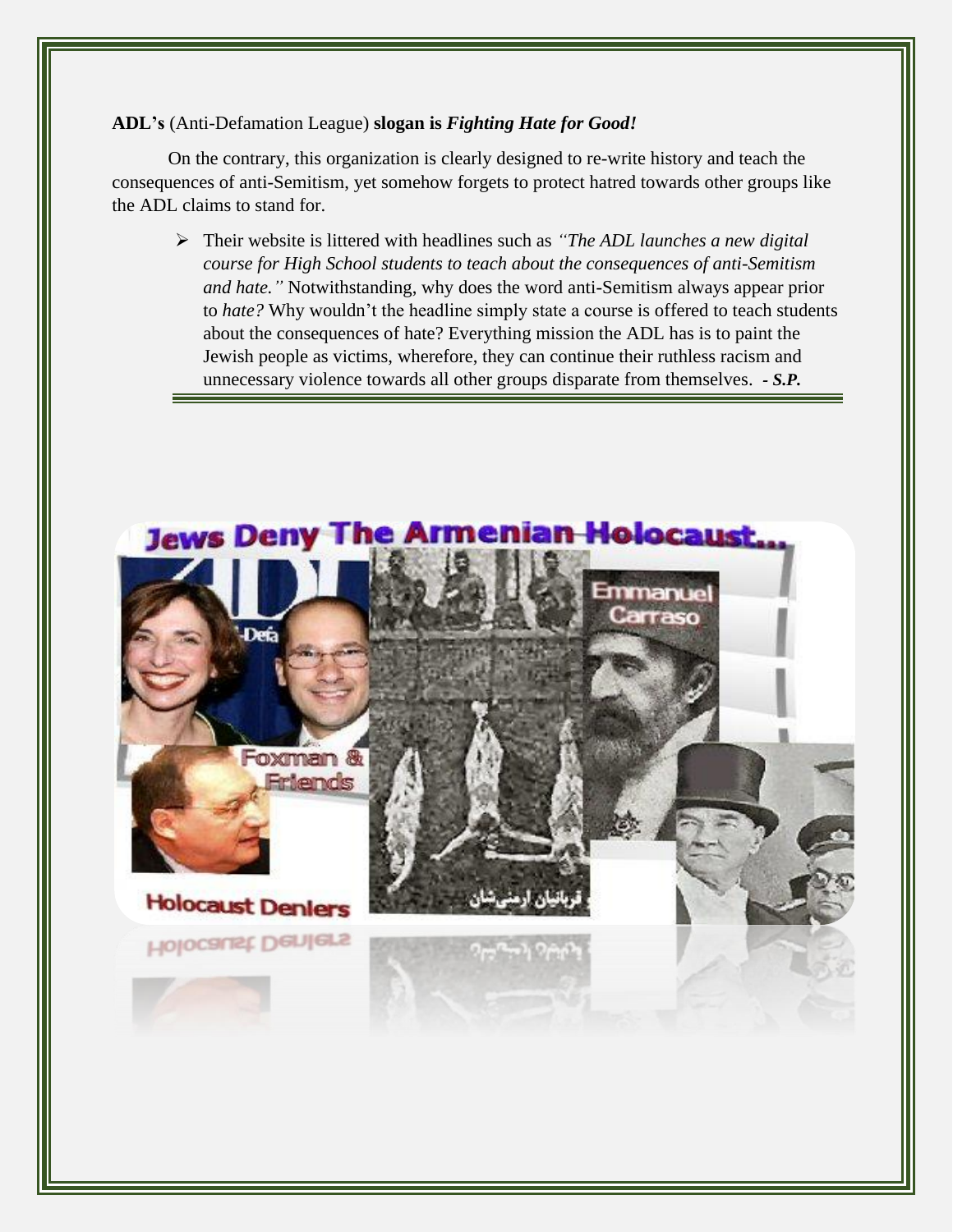## **ADL's** (Anti-Defamation League) **slogan is** *Fighting Hate for Good!*

On the contrary, this organization is clearly designed to re-write history and teach the consequences of anti-Semitism, yet somehow forgets to protect hatred towards other groups like the ADL claims to stand for.

➢ Their website is littered with headlines such as *"The ADL launches a new digital course for High School students to teach about the consequences of anti-Semitism and hate."* Notwithstanding, why does the word anti-Semitism always appear prior to *hate?* Why wouldn't the headline simply state a course is offered to teach students about the consequences of hate? Everything mission the ADL has is to paint the Jewish people as victims, wherefore, they can continue their ruthless racism and unnecessary violence towards all other groups disparate from themselves. *- S.P.*

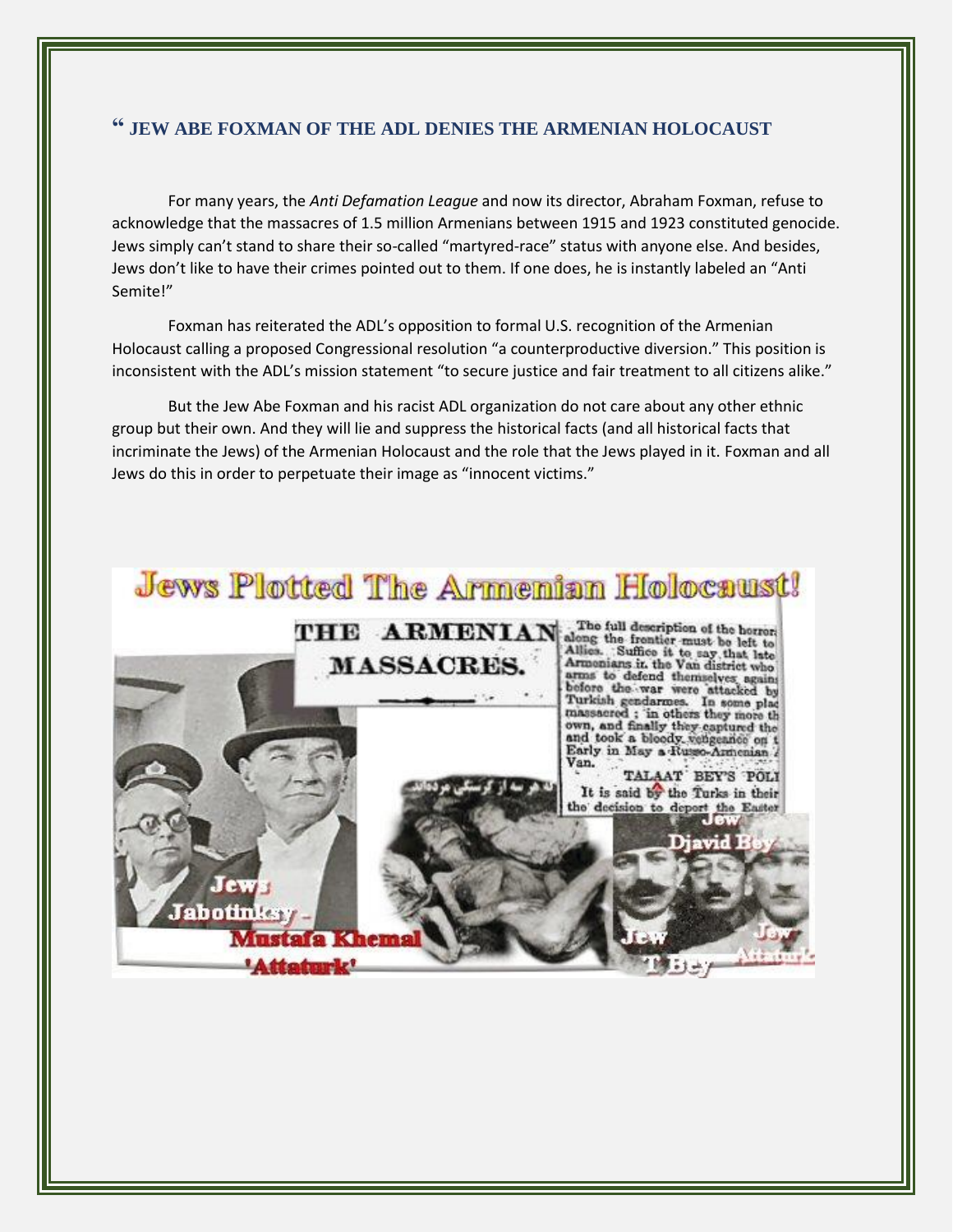## **" JEW ABE FOXMAN OF THE ADL DENIES THE ARMENIAN HOLOCAUST**

For many years, the *Anti Defamation League* and now its director, Abraham Foxman, refuse to acknowledge that the massacres of 1.5 million Armenians between 1915 and 1923 constituted genocide. Jews simply can't stand to share their so-called "martyred-race" status with anyone else. And besides, Jews don't like to have their crimes pointed out to them. If one does, he is instantly labeled an "Anti Semite!"

Foxman has reiterated the ADL's opposition to formal U.S. recognition of the Armenian Holocaust calling a proposed Congressional resolution "a counterproductive diversion." This position is inconsistent with the ADL's mission statement "to secure justice and fair treatment to all citizens alike."

But the Jew Abe Foxman and his racist ADL organization do not care about any other ethnic group but their own. And they will lie and suppress the historical facts (and all historical facts that incriminate the Jews) of the Armenian Holocaust and the role that the Jews played in it. Foxman and all Jews do this in order to perpetuate their image as "innocent victims."

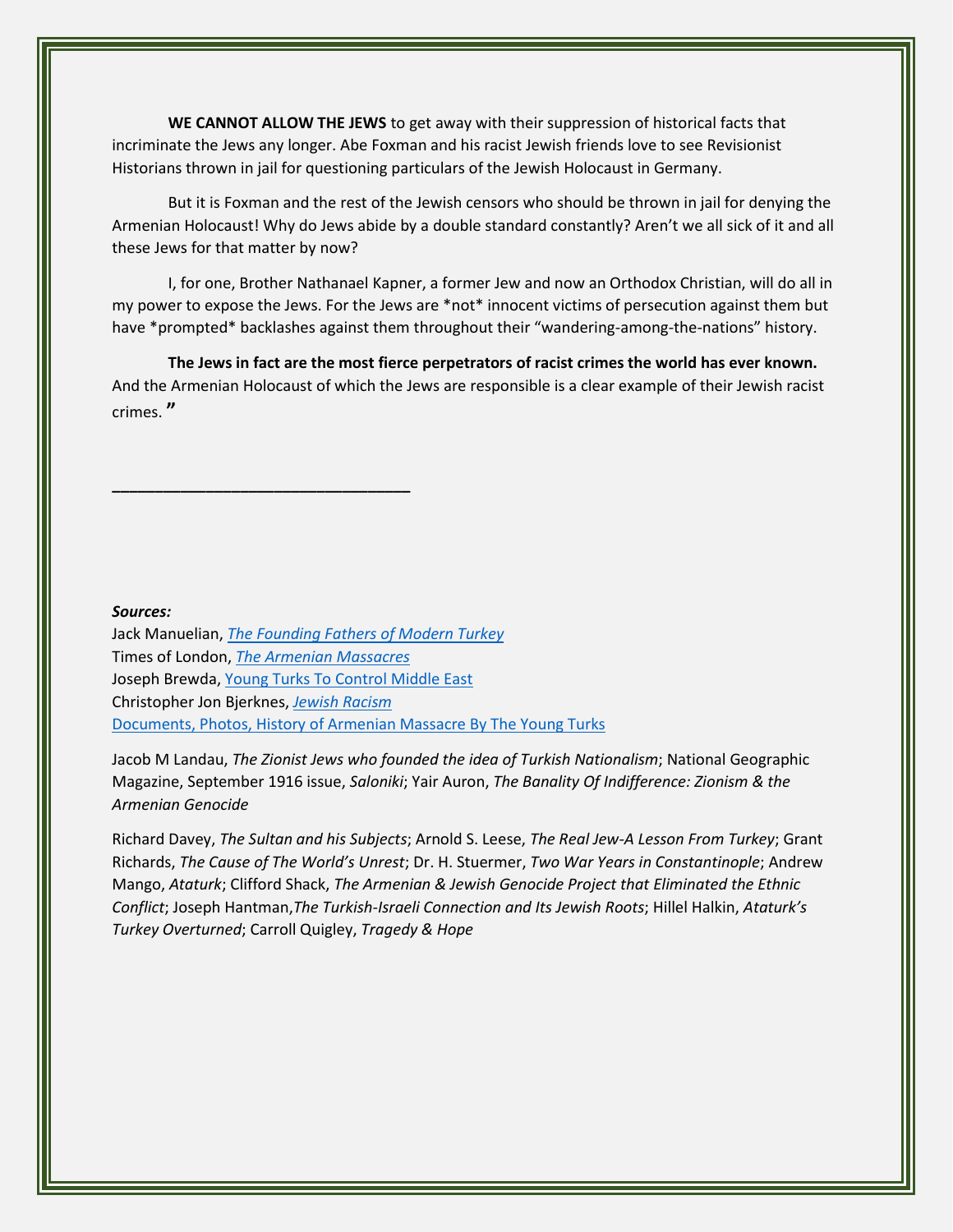**WE CANNOT ALLOW THE JEWS** to get away with their suppression of historical facts that incriminate the Jews any longer. Abe Foxman and his racist Jewish friends love to see Revisionist Historians thrown in jail for questioning particulars of the Jewish Holocaust in Germany.

But it is Foxman and the rest of the Jewish censors who should be thrown in jail for denying the Armenian Holocaust! Why do Jews abide by a double standard constantly? Aren't we all sick of it and all these Jews for that matter by now?

I, for one, Brother Nathanael Kapner, a former Jew and now an Orthodox Christian, will do all in my power to expose the Jews. For the Jews are \*not\* innocent victims of persecution against them but have \*prompted\* backlashes against them throughout their "wandering-among-the-nations" history.

**The Jews in fact are the most fierce perpetrators of racist crimes the world has ever known.** And the Armenian Holocaust of which the Jews are responsible is a clear example of their Jewish racist crimes. **"**

## *Sources:*

Jack Manuelian, *[The Founding Fathers of Modern Turkey](http://www.panarmenian.net/library/eng/?nid=103)* Times of London, *[The Armenian Massacres](http://www.timesonline.co.uk/tol/news/world/europe/article2641064.ece?token=null&offset=0)* Joseph Brewda[, Young Turks To Control Middle East](http://www.schillerinstitute.org/conf-iclc/1990s/conf_feb_1994_brewda.html#brewda) Christopher Jon Bjerknes, *[Jewish Racism](http://jewishracism.blogspot.com/)* [Documents, Photos, History of Armenian Massacre By The Young Turks](http://www.ourararat.com/eng/e_adana.htm)

**\_\_\_\_\_\_\_\_\_\_\_\_\_\_\_\_\_\_\_\_\_\_\_\_\_\_\_\_\_\_\_\_\_\_\_**

Jacob M Landau, *The Zionist Jews who founded the idea of Turkish Nationalism*; National Geographic Magazine, September 1916 issue, *Saloniki*; Yair Auron, *The Banality Of Indifference: Zionism & the Armenian Genocide*

Richard Davey, *The Sultan and his Subjects*; Arnold S. Leese, *The Real Jew-A Lesson From Turkey*; Grant Richards, *The Cause of The World's Unrest*; Dr. H. Stuermer, *Two War Years in Constantinople*; Andrew Mango, *Ataturk*; Clifford Shack, *The Armenian & Jewish Genocide Project that Eliminated the Ethnic Conflict*; Joseph Hantman,*The Turkish-Israeli Connection and Its Jewish Roots*; Hillel Halkin, *Ataturk's Turkey Overturned*; Carroll Quigley, *Tragedy & Hope*